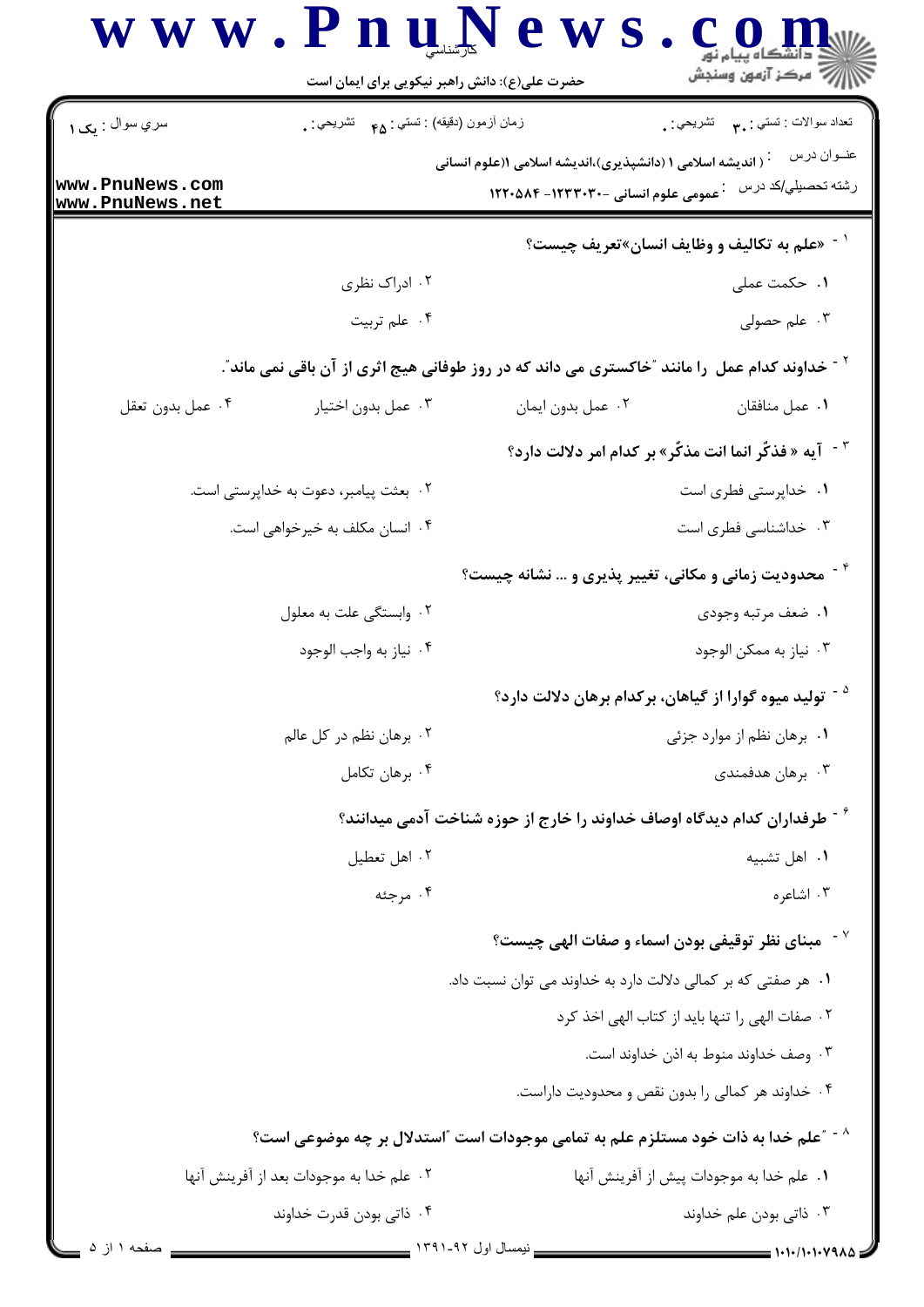|                                    | حضرت علی(ع): دانش راهبر نیکویی برای ایمان است                                                             |                                                                        | أأأ مركز آزمون وسنجش                                                                 |
|------------------------------------|-----------------------------------------------------------------------------------------------------------|------------------------------------------------------------------------|--------------------------------------------------------------------------------------|
| سري سوال : يک ۱                    | زمان أزمون (دقيقه) : تستي : ۴۵ — تشريحي : .                                                               |                                                                        | تعداد سوالات : تستبي : ٩. مس     تشريحي : .                                          |
|                                    |                                                                                                           | <sup>:</sup> ( اندیشه اسلامی ۱ (دانشپذیری)،اندیشه اسلامی ۱(علوم انسانی | عنــوان درس                                                                          |
| www.PnuNews.com<br>www.PnuNews.net |                                                                                                           | عمومی علوم انسانی -۱۲۳۳۰۳۰- ۱۲۲۰۵۸۴                                    | رشته تحصيل <i>ي/</i> كد درس                                                          |
|                                    |                                                                                                           |                                                                        | ` - «علم به تكاليف و وظايف انسان»تعريف چيست؟                                         |
|                                    | ۰۲ ادراک نظری                                                                                             |                                                                        | ۰۱ حکمت عملی                                                                         |
|                                    | ۰۴ علم تربيت                                                                                              |                                                                        | ۰۳ علم حصولی                                                                         |
|                                    | <sup>۲ -</sup> خداوند کدام عمل ۱را مانند ″خاکستری می داند که در روز طوفانی هیج اثری از آن باقی نمی ماند″. |                                                                        |                                                                                      |
| ۰۴ عمل بدون تعقل                   | ٠٣ عمل بدون اختيار                                                                                        | ٠٢ عمل بدون ايمان                                                      | ٠١. عمل منافقان                                                                      |
|                                    |                                                                                                           |                                                                        | <sup>٣ -</sup> آيه « فذكَّر انما انت مذكَّر» بر كدام امر دلالت دارد؟                 |
|                                    | ۰۲ بعثت پیامبر، دعوت به خداپرستی است.                                                                     |                                                                        | ٠١ خداپرستي فطري است                                                                 |
|                                    | ۰۴ انسان مکلف به خیرخواهی است.                                                                            |                                                                        | ۰۳ خداشناسی فطری است                                                                 |
|                                    |                                                                                                           | <b>محدودیت زمانی و مکانی، تغییر پذیری و … نشانه چیست؟</b>              |                                                                                      |
|                                    | ۰۲ وابستگی علت به معلول                                                                                   |                                                                        | ٠١ ضعف مرتبه وجودي                                                                   |
|                                    | ۰۴ نياز به واجب الوجود                                                                                    |                                                                        | ۰۳ نیاز به ممکن الوجود                                                               |
|                                    |                                                                                                           |                                                                        | <sup>۵ -</sup> تولید میوه گوارا از گیاهان، برکدام برهان دلالت دارد؟                  |
|                                    | ۰۲ برهان نظم در کل عالم                                                                                   |                                                                        | ۰۱ برهان نظم از موارد جزئی                                                           |
|                                    | ۰۴ برهان تكامل                                                                                            |                                                                        | ۰۳ برهان هدفمندی                                                                     |
|                                    |                                                                                                           |                                                                        | <sup>۶ -</sup> طرفداران کدام دیدگاه اوصاف خداوند را خارج از حوزه شناخت آدمی میدانند؟ |
|                                    | ۰۲ اهل تعطیل                                                                                              |                                                                        | ٠١ اهل تشبيه                                                                         |
|                                    | ۰۴ مرجئه                                                                                                  |                                                                        | ۰۳ اشاعره                                                                            |
|                                    |                                                                                                           |                                                                        | `` مبنای نظر توقیفی بودن اسماء و صفات الهی چیست؟                                     |
|                                    |                                                                                                           | ۰۱ هر صفتی که بر کمالی دلالت دارد به خداوند می توان نسبت داد.          |                                                                                      |
|                                    |                                                                                                           |                                                                        | ۰۲ صفات الهی را تنها باید از کتاب الهی اخذ کرد                                       |
|                                    |                                                                                                           |                                                                        | ۰۳ وصف خداوند منوط به اذن خداوند است.                                                |
|                                    |                                                                                                           |                                                                        | ۰۴ خداوند هر کمالی را بدون نقص و محدودیت داراست.                                     |
|                                    | <sup>^ -</sup> "علم خدا به ذات خود مستلزم علم به تمامی موجودات است "استدلال بر چه موضوعی است؟             |                                                                        |                                                                                      |
|                                    | ۰۲ علم خدا به موجودات بعد از آفرینش آنها                                                                  |                                                                        | ٠١ علم خدا به موجودات پيش از آفرينش آنها                                             |
|                                    | ۰۴ ذاتی بودن قدرت خداوند                                                                                  |                                                                        | ۰۳ ذاتی بودن علم خداوند                                                              |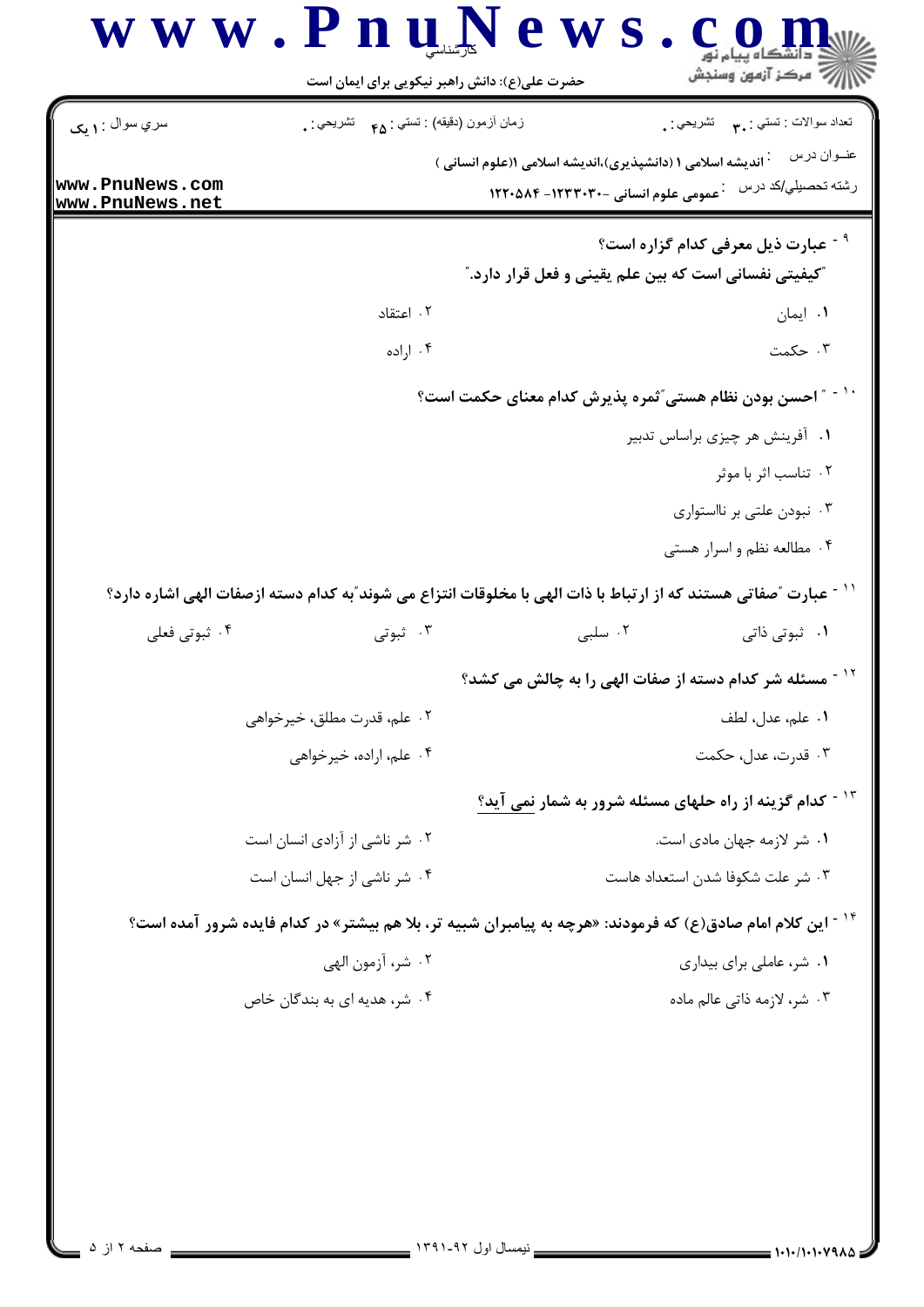| سري سوال : ۱ يک                    | زمان أزمون (دقيقه) : تستي : هم       تشريحي : . | تعداد سوالات : تستي : پم       تشريحي : <sub>.</sub>                                                                                                |             |
|------------------------------------|-------------------------------------------------|-----------------------------------------------------------------------------------------------------------------------------------------------------|-------------|
| www.PnuNews.com<br>www.PnuNews.net |                                                 | <sup>:</sup> اندیشه اسلامی ۱ (دانشپذیری)،اندیشه اسلامی ۱(علوم انسانی )<br>رشته تحصيلي/كد درس<br><b>1270-0 میں علوم انسانی -1234-1246-18</b> ۲       | عنــوان درس |
|                                    |                                                 | <sup>۹ -</sup> عبارت ذیل معرفی کدام گزاره است؟<br>"کیفیتی نفسانی است که بین علم یقینی و فعل قرار دارد."                                             |             |
|                                    | ۰۲ اعتقاد                                       | ۰۱ ایمان                                                                                                                                            |             |
|                                    | ۰۴ اراده                                        | ۰۳ حکمت                                                                                                                                             |             |
|                                    |                                                 | ″ احسن بودن نظام هستي″ثمره پذيرش كدام معناي حكمت است؟                                                                                               |             |
|                                    |                                                 | ٠١ آفرينش هر چيزى براساس تدبير                                                                                                                      |             |
|                                    |                                                 | ۰۲ تناسب اثر با موثر                                                                                                                                |             |
|                                    |                                                 | ۰۳ نبودن علتی بر نااستواری                                                                                                                          |             |
|                                    |                                                 | ۰۴ مطالعه نظم و اسرار هستی                                                                                                                          |             |
|                                    |                                                 | `` - عبارت ″صفاتی هستند که از ارتباط با ذات الهی با مخلوقات انتزاع می شوند″به کدام دسته ازصفات الهی اشاره دارد؟                                     |             |
| ۰۴ ثبوتی فعلی                      | ۰۳ ثبوتی                                        | ۰۲ سلبی<br>۰۱ ثبوتی ذاتی                                                                                                                            |             |
|                                    |                                                 | مسئله شر کدام دسته از صفات الهی را به چالش می کشد؟                                                                                                  |             |
|                                    | ۰۲ علم، قدرت مطلق، خيرخواهي                     | ٠١. علم، عدل، لطف                                                                                                                                   |             |
|                                    | ۰۴ علم، اراده، خیرخواهی                         | ۰۳ قدرت، عدل، حکمت                                                                                                                                  |             |
|                                    |                                                 | <sup>۱۳ -</sup> کدام گزینه از راه حلهای مسئله شرور به شمار <u>نمی</u> آید؟                                                                          |             |
|                                    | ۰۲ شر ناشی از آزادی انسان است                   | ۰۱ شر لازمه جهان مادی است.                                                                                                                          |             |
| ۰۴ شر ناشی از جهل انسان است        |                                                 | ۰۳ شر علت شكوفا شدن استعداد هاست                                                                                                                    |             |
|                                    |                                                 |                                                                                                                                                     |             |
|                                    |                                                 |                                                                                                                                                     |             |
|                                    | ٢. شر، آزمون الهي                               | <sup>۱۴ -</sup> این کلام امام صادق(ع) که فرمودند: «هرچه به پیامبران شبیه تر، بلا هم بیشتر» در کدام فایده شرور آمده است؟<br>۰۱ شر، عاملی برای بیداری |             |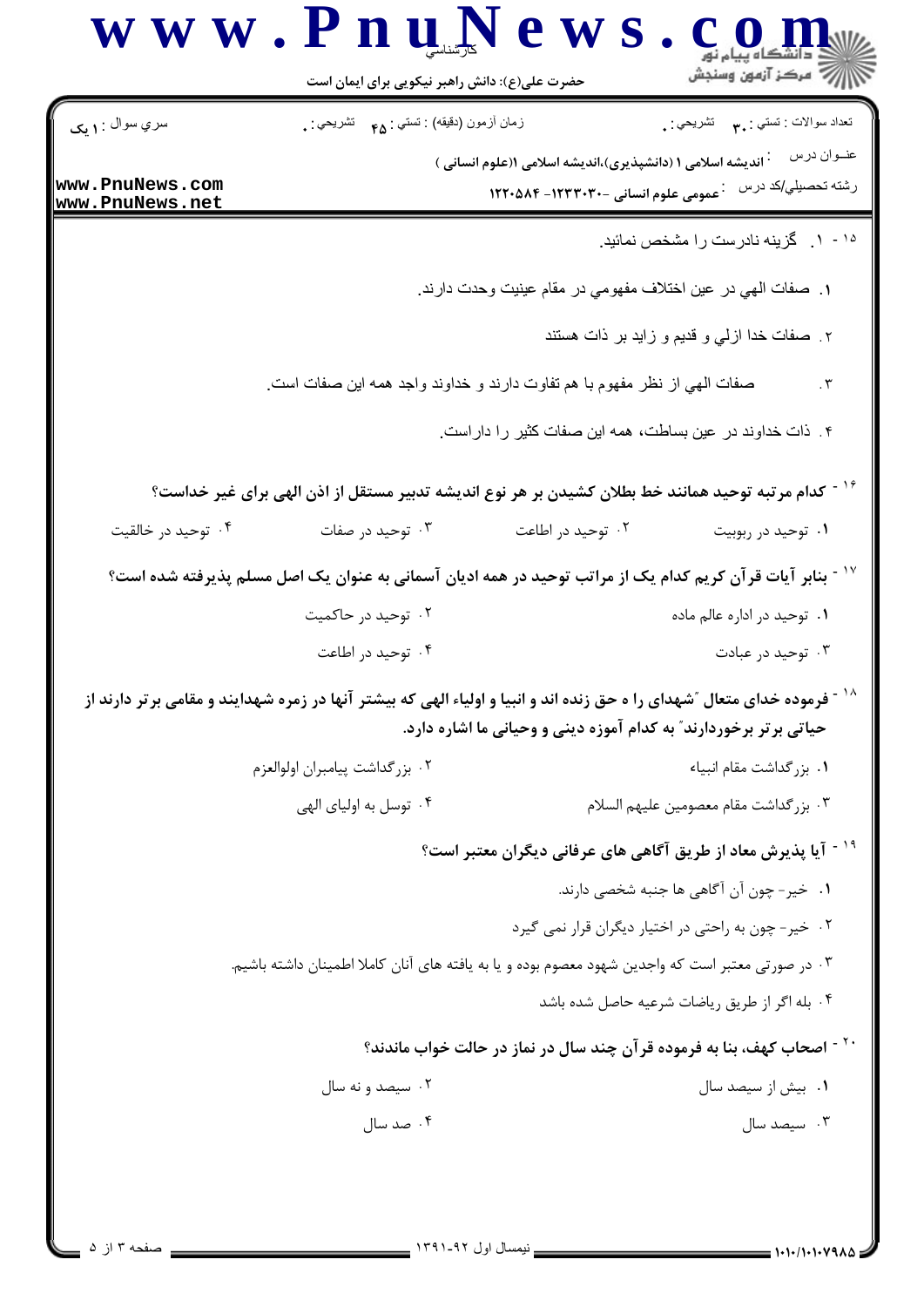| سري سوال : ١ يک                    | زمان أزمون (دقيقه) : تستى : هم     تشريحي : .                                                                                       |                                                                                                           | تعداد سوالات : تستبي : ٩. سمب     تشريحي : .<br>عنــوان درس                        |
|------------------------------------|-------------------------------------------------------------------------------------------------------------------------------------|-----------------------------------------------------------------------------------------------------------|------------------------------------------------------------------------------------|
| www.PnuNews.com<br>www.PnuNews.net |                                                                                                                                     | <b>۰ اندیشه اسلامی ۱ (دانشپذیری)،اندیشه اسلامی ۱(علوم انسانی</b> )<br>عمومی علوم انسانی -۱۲۳۳۰۳۰- ۱۲۲۰۵۸۴ | رشته تحصيلي/كد درس                                                                 |
|                                    |                                                                                                                                     |                                                                                                           | ۱۰- ۱. گزینه نادرست را مشخص نمائید.                                                |
|                                    |                                                                                                                                     | ١. صفات المهي در عين اختلاف مفهومي در مقام عينيت وحدت دارند.                                              |                                                                                    |
|                                    |                                                                                                                                     |                                                                                                           | ۲. صفات خدا ازلي و قديم و زايد بر ذات هستند                                        |
|                                    | صفات الهي از نظر مفهوم با هم تفاوت دارند و خداوند واجد همه اين صفات است.                                                            |                                                                                                           | $\cdot$ $\mathsf{r}$                                                               |
|                                    |                                                                                                                                     | ۴. ذات خداوند در عین بساطت، همه این صفات کثیر را داراست                                                   |                                                                                    |
|                                    | کدام مرتبه توحید همانند خط بطلان کشیدن بر هر نوع اندیشه تدبیر مستقل از اذن الهی برای غیر خداست؟                                     |                                                                                                           |                                                                                    |
| ۰۴ توحید در خالقیت                 | ۰۳ توحید در صفات                                                                                                                    | ۰۲ توحید در اطاعت                                                                                         | ۰۱ توحید در ربوبیت                                                                 |
|                                    | ٔ ` آ بنابر آیات قرآن کریم کدام یک از مراتب توحید در همه ادیان آسمانی به عنوان یک اصل مسلم پذیرفته شده است؟                         |                                                                                                           |                                                                                    |
|                                    | ۰۲ توحید در حاکمیت                                                                                                                  |                                                                                                           | ۰۱ توحید در اداره عالم ماده                                                        |
|                                    | ۰۴ توحید در اطاعت                                                                                                                   |                                                                                                           | ۰۳ توحید در عبادت                                                                  |
|                                    | <sup>۱۸ -</sup> فرموده خدای متعال ″شهدای را ه حق زنده اند و انبیا و اولیاء الهی که بیشتر آنها در زمره شهدایند و مقامی برتر دارند از |                                                                                                           |                                                                                    |
|                                    |                                                                                                                                     | حیاتی برتر برخوردارند ؒ به کدام آموزه دینی و وحیانی ما اشاره دارد.                                        |                                                                                    |
|                                    | ٠٢ بزر گداشت پيامبران اولوالعزم                                                                                                     |                                                                                                           | ٠١ بزرگداشت مقام انبياء                                                            |
|                                    | ۰۴ توسل به اولیای الهی                                                                                                              |                                                                                                           | ٠٣ بزر گداشت مقام معصومين عليهم السلام                                             |
|                                    |                                                                                                                                     |                                                                                                           | <sup>۱۹ -</sup> آیا پذیرش معاد از طریق آگاهی های عرفانی دیگران معتبر است؟          |
|                                    |                                                                                                                                     |                                                                                                           | ٠١ خير- چون آن آگاهي ها جنبه شخصي دارند.                                           |
|                                    |                                                                                                                                     |                                                                                                           | ۰۲ خیر- چون به راحتی در اختیار دیگران قرار نمی گیرد                                |
|                                    | ۰۳ در صورتی معتبر است که واجدین شهود معصوم بوده و یا به یافته های آنان کاملا اطمینان داشته باشیم.                                   |                                                                                                           |                                                                                    |
|                                    |                                                                                                                                     |                                                                                                           | ۰۴ بله اگر از طریق ریاضات شرعیه حاصل شده باشد                                      |
|                                    |                                                                                                                                     |                                                                                                           | <sup>۲۰ -</sup> اصحاب کهف، بنا به فرموده قرآن چند سال در نماز در حالت خواب ماندند؟ |
|                                    | ۰۲ سیصد و نه سال                                                                                                                    |                                                                                                           | ۰۱ بیش از سیصد سال                                                                 |
|                                    | ۰۴ صد سال                                                                                                                           |                                                                                                           | ۰۳ سیصد سال                                                                        |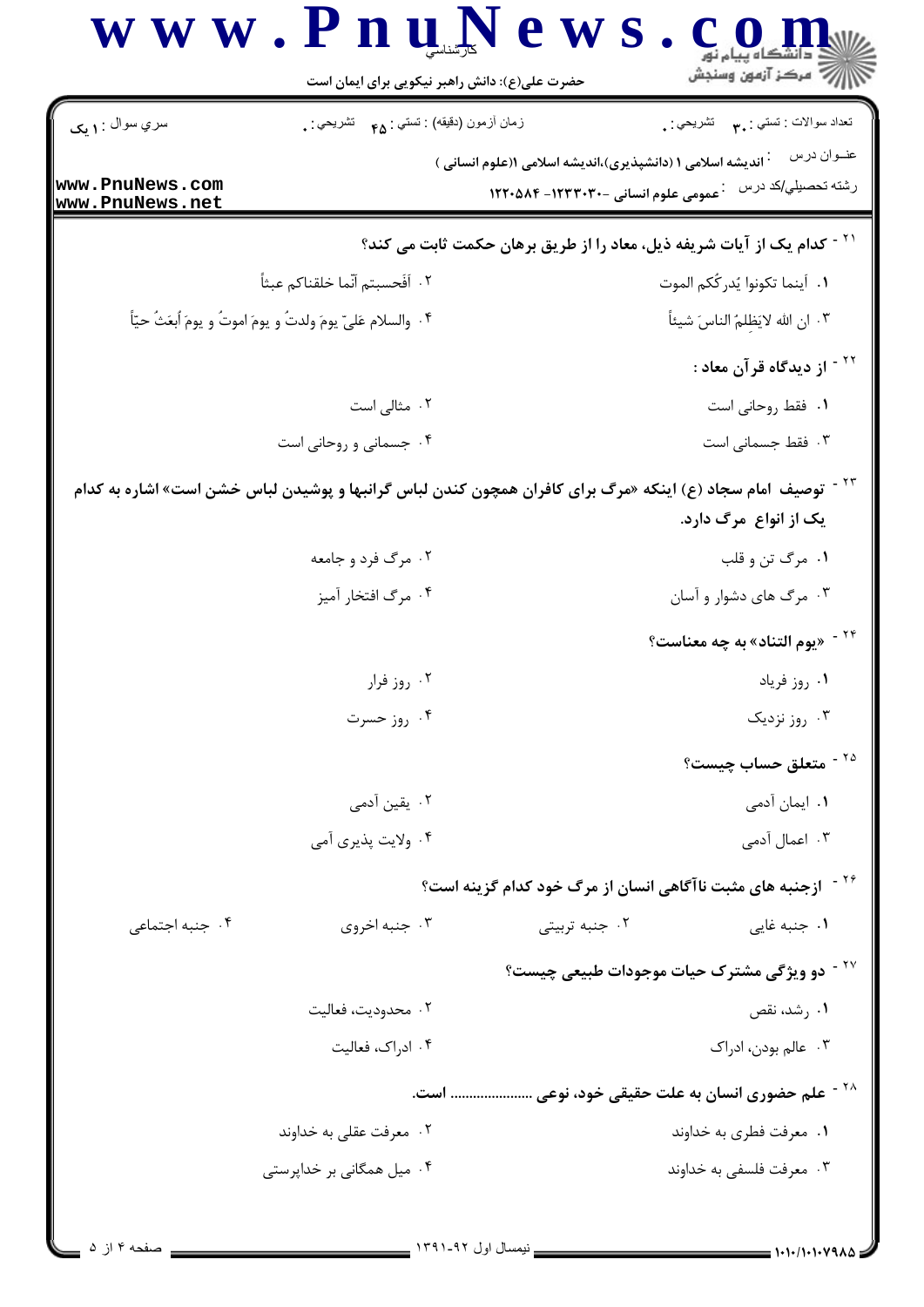|                                    | حضرت علی(ع): دانش راهبر نیکویی برای ایمان است                                                           | ے<br>ایک مرکز آزمون وسنجش                                                                                                                                   |
|------------------------------------|---------------------------------------------------------------------------------------------------------|-------------------------------------------------------------------------------------------------------------------------------------------------------------|
| سري سوال : ۱ يک                    | زمان أزمون (دقيقه) : تستي : <sub>۴۵</sub> تشريحي : <sub>.</sub>                                         | تعداد سوالات : تستي : ٩. تشريحي : .                                                                                                                         |
| www.PnuNews.com<br>www.PnuNews.net |                                                                                                         | عنــوان درس<br><sup>:</sup> اندیشه اسلامی ۱ (دانشپذیری)،اندیشه اسلامی ۱(علوم انسانی )<br>رشته تحصيلي/كد درس<br><b>1270-3 مومی علوم انسانی -1234-1246-12</b> |
|                                    |                                                                                                         | <sup>۲۱ -</sup> کدام یک از آیات شریفه ذیل، معاد را از طریق برهان حکمت ثابت می کند؟                                                                          |
|                                    | ٢.  أفَحسبتم أنّما خلقناكم عبثاً                                                                        | ٠١. أينما تكونوا يُدرِ كُكم الموت                                                                                                                           |
|                                    | ۰۴ والسلام عَلىّ يومَ ولدتُ و يومَ اموتُ و يومَ اُبعَثُ حيّاً                                           | ٠٣ ان الله لايَظِلمُ الناسَ شيئاً                                                                                                                           |
|                                    |                                                                                                         | <sup>۲۲ -</sup> از دیدگاه قرآن معاد :                                                                                                                       |
|                                    | ۰۲ مثالی است                                                                                            | ٠١. فقط روحاني است                                                                                                                                          |
|                                    | ۰۴ جسمانی و روحانی است                                                                                  | ۰۳ فقط جسمانی است                                                                                                                                           |
|                                    | توصیف آمام سجاد (ع) اینکه «مرگ برای کافران همچون کندن لباس گرانبها و پوشیدن لباس خشن است» اشاره به کدام | یک از انواع ًمرگ دارد.                                                                                                                                      |
|                                    | ۰۲ مرگ فرد و جامعه                                                                                      | ۰۱ مرگ تن و قلب                                                                                                                                             |
|                                    | ۰۴ مرگ افتخار آميز                                                                                      | ۰۳ مرگ های دشوار و آسان                                                                                                                                     |
|                                    |                                                                                                         | <sup>۲۴ -</sup> «يوم التناد» به چه معناست؟                                                                                                                  |
|                                    | ۰۲ روز فرار                                                                                             | ٠١. روز فرياد                                                                                                                                               |
|                                    | ۰۴ روز حسرت                                                                                             | ۰۳ روز نزدیک                                                                                                                                                |
|                                    |                                                                                                         | <sup>۲۵ -</sup> متعلق حساب چیست؟                                                                                                                            |
|                                    | ۰۲ یقین آدمی                                                                                            | ۰۱ ایمان آدمی                                                                                                                                               |
|                                    | ۰۴ ولايت پذيري آمي                                                                                      | ۰۳ اعمال آدمی                                                                                                                                               |
|                                    |                                                                                                         | <sup>۲۶ -</sup> ازجنبه های مثبت ناآگاهی انسان از مرگ خود کدام گزینه است؟                                                                                    |
| ۰۴ جنبه اجتماعی                    | ۰۳ جنبه اخروی                                                                                           | ۰۱ جنبه غایی<br>۰۲ جنبه تربیتی                                                                                                                              |
|                                    |                                                                                                         | <sup>۲۷ -</sup> دو ویژگی مشترک حیات موجودات طبیعی چیست؟                                                                                                     |
|                                    | ۰۲ محدودیت، فعالیت                                                                                      | ۰۱ رشد، نقص                                                                                                                                                 |
|                                    | ۰۴ ادراک، فعالیت                                                                                        | ۰۳ عالم بودن، ادراک                                                                                                                                         |
|                                    |                                                                                                         | <sup>۲۸ -</sup> علم حضوری انسان به علت حقیقی خود، نوعی  است.                                                                                                |
|                                    | ۰۲ معرفت عقلی به خداوند                                                                                 | ۰۱ معرفت فطري به خداوند                                                                                                                                     |
|                                    | ۰۴ میل همگانی بر خداپرستی                                                                               | ۰۳ معرفت فلسفي به خداوند                                                                                                                                    |